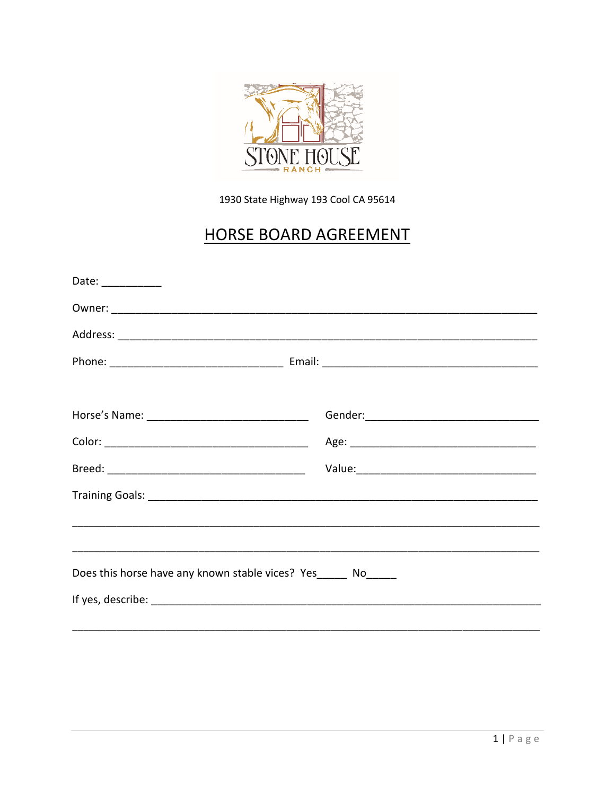

1930 State Highway 193 Cool CA 95614

# **HORSE BOARD AGREEMENT**

| Date: ___________                                              |  |
|----------------------------------------------------------------|--|
|                                                                |  |
|                                                                |  |
|                                                                |  |
|                                                                |  |
|                                                                |  |
|                                                                |  |
|                                                                |  |
|                                                                |  |
|                                                                |  |
|                                                                |  |
| Does this horse have any known stable vices? Yes______ No_____ |  |
|                                                                |  |
|                                                                |  |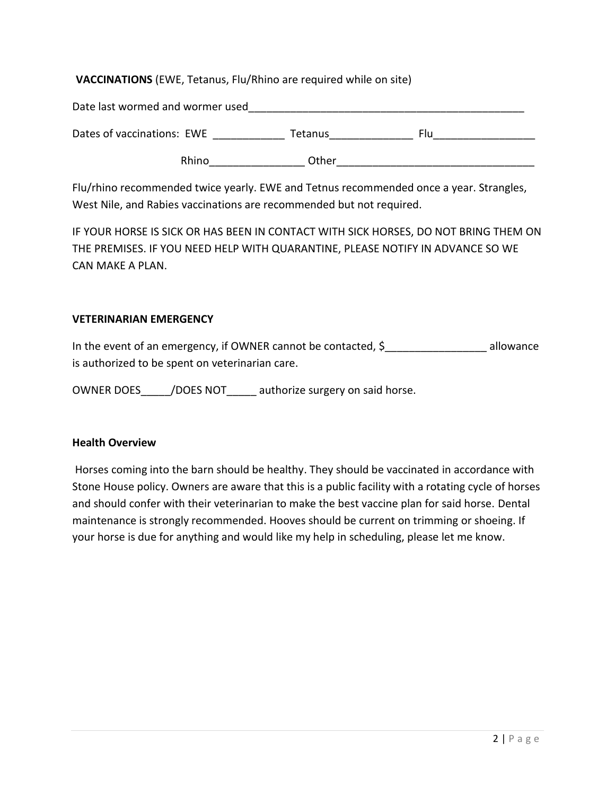# **VACCINATIONS** (EWE, Tetanus, Flu/Rhino are required while on site)

Date last wormed and wormer used **EXACT 2008** 

Dates of vaccinations: EWE \_\_\_\_\_\_\_\_\_\_\_\_\_\_\_ Tetanus\_\_\_\_\_\_\_\_\_\_\_\_\_\_\_\_\_\_\_\_\_\_\_\_\_\_\_\_\_\_\_

Rhino\_\_\_\_\_\_\_\_\_\_\_\_\_\_\_\_ Other\_\_\_\_\_\_\_\_\_\_\_\_\_\_\_\_\_\_\_\_\_\_\_\_\_\_\_\_\_\_\_\_\_

Flu/rhino recommended twice yearly. EWE and Tetnus recommended once a year. Strangles, West Nile, and Rabies vaccinations are recommended but not required.

IF YOUR HORSE IS SICK OR HAS BEEN IN CONTACT WITH SICK HORSES, DO NOT BRING THEM ON THE PREMISES. IF YOU NEED HELP WITH QUARANTINE, PLEASE NOTIFY IN ADVANCE SO WE CAN MAKE A PLAN.

### **VETERINARIAN EMERGENCY**

In the event of an emergency, if OWNER cannot be contacted, \$ allowance is authorized to be spent on veterinarian care.

OWNER DOES / DOES NOT authorize surgery on said horse.

#### **Health Overview**

Horses coming into the barn should be healthy. They should be vaccinated in accordance with Stone House policy. Owners are aware that this is a public facility with a rotating cycle of horses and should confer with their veterinarian to make the best vaccine plan for said horse. Dental maintenance is strongly recommended. Hooves should be current on trimming or shoeing. If your horse is due for anything and would like my help in scheduling, please let me know.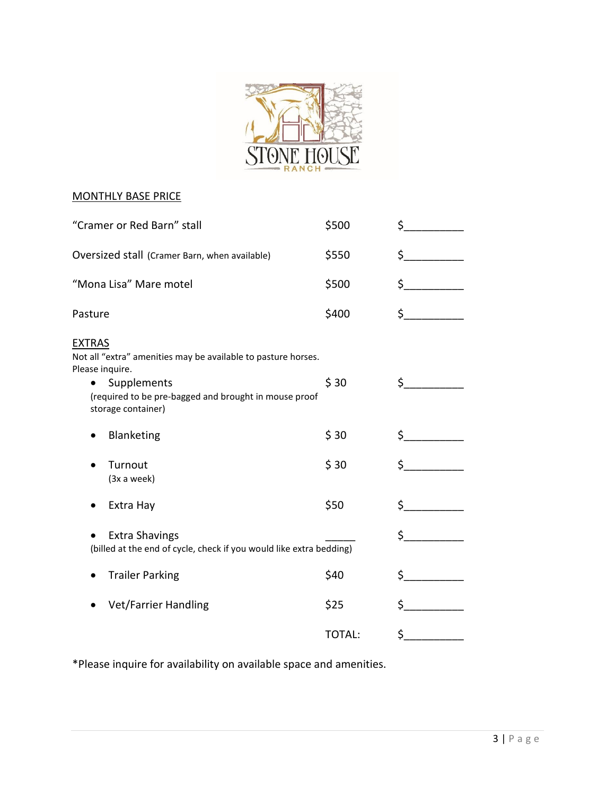

# MONTHLY BASE PRICE

| "Cramer or Red Barn" stall                                                                                                                                                                      | \$500         | \$ |
|-------------------------------------------------------------------------------------------------------------------------------------------------------------------------------------------------|---------------|----|
| Oversized stall (Cramer Barn, when available)                                                                                                                                                   | \$550         | \$ |
| "Mona Lisa" Mare motel                                                                                                                                                                          | \$500         | \$ |
| Pasture                                                                                                                                                                                         | \$400         | \$ |
| <b>EXTRAS</b><br>Not all "extra" amenities may be available to pasture horses.<br>Please inquire.<br>Supplements<br>(required to be pre-bagged and brought in mouse proof<br>storage container) | \$30          | \$ |
| Blanketing                                                                                                                                                                                      | \$30          | \$ |
| Turnout<br>(3x a week)                                                                                                                                                                          | \$30          | \$ |
| Extra Hay                                                                                                                                                                                       | \$50          | \$ |
| <b>Extra Shavings</b><br>(billed at the end of cycle, check if you would like extra bedding)                                                                                                    |               | \$ |
| <b>Trailer Parking</b>                                                                                                                                                                          | \$40          | \$ |
| <b>Vet/Farrier Handling</b>                                                                                                                                                                     | \$25          | \$ |
|                                                                                                                                                                                                 | <b>TOTAL:</b> | \$ |

\*Please inquire for availability on available space and amenities.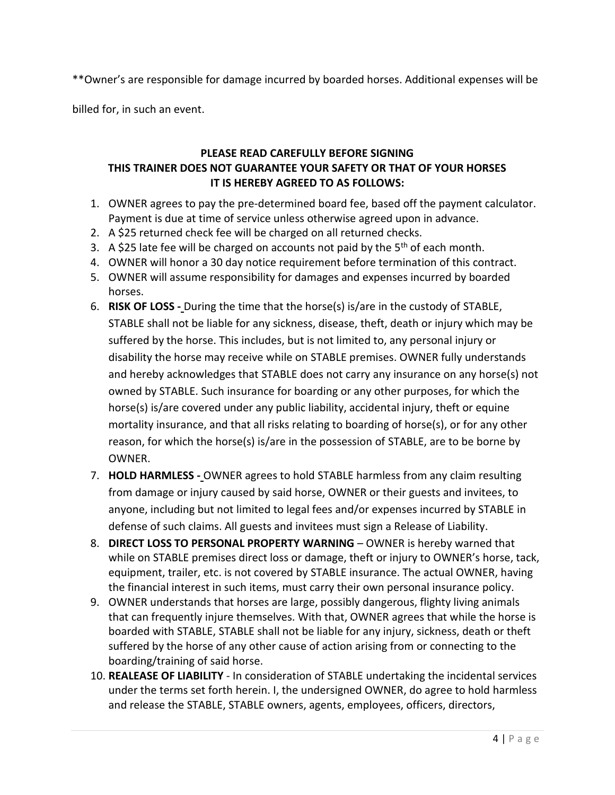\*\*Owner's are responsible for damage incurred by boarded horses. Additional expenses will be

billed for, in such an event.

# **PLEASE READ CAREFULLY BEFORE SIGNING THIS TRAINER DOES NOT GUARANTEE YOUR SAFETY OR THAT OF YOUR HORSES IT IS HEREBY AGREED TO AS FOLLOWS:**

- 1. OWNER agrees to pay the pre-determined board fee, based off the payment calculator. Payment is due at time of service unless otherwise agreed upon in advance.
- 2. A \$25 returned check fee will be charged on all returned checks.
- 3. A \$25 late fee will be charged on accounts not paid by the  $5<sup>th</sup>$  of each month.
- 4. OWNER will honor a 30 day notice requirement before termination of this contract.
- 5. OWNER will assume responsibility for damages and expenses incurred by boarded horses.
- 6. **RISK OF LOSS -** During the time that the horse(s) is/are in the custody of STABLE, STABLE shall not be liable for any sickness, disease, theft, death or injury which may be suffered by the horse. This includes, but is not limited to, any personal injury or disability the horse may receive while on STABLE premises. OWNER fully understands and hereby acknowledges that STABLE does not carry any insurance on any horse(s) not owned by STABLE. Such insurance for boarding or any other purposes, for which the horse(s) is/are covered under any public liability, accidental injury, theft or equine mortality insurance, and that all risks relating to boarding of horse(s), or for any other reason, for which the horse(s) is/are in the possession of STABLE, are to be borne by OWNER.
- 7. **HOLD HARMLESS -** OWNER agrees to hold STABLE harmless from any claim resulting from damage or injury caused by said horse, OWNER or their guests and invitees, to anyone, including but not limited to legal fees and/or expenses incurred by STABLE in defense of such claims. All guests and invitees must sign a Release of Liability.
- 8. **DIRECT LOSS TO PERSONAL PROPERTY WARNING** OWNER is hereby warned that while on STABLE premises direct loss or damage, theft or injury to OWNER's horse, tack, equipment, trailer, etc. is not covered by STABLE insurance. The actual OWNER, having the financial interest in such items, must carry their own personal insurance policy.
- 9. OWNER understands that horses are large, possibly dangerous, flighty living animals that can frequently injure themselves. With that, OWNER agrees that while the horse is boarded with STABLE, STABLE shall not be liable for any injury, sickness, death or theft suffered by the horse of any other cause of action arising from or connecting to the boarding/training of said horse.
- 10. **REALEASE OF LIABILITY** In consideration of STABLE undertaking the incidental services under the terms set forth herein. I, the undersigned OWNER, do agree to hold harmless and release the STABLE, STABLE owners, agents, employees, officers, directors,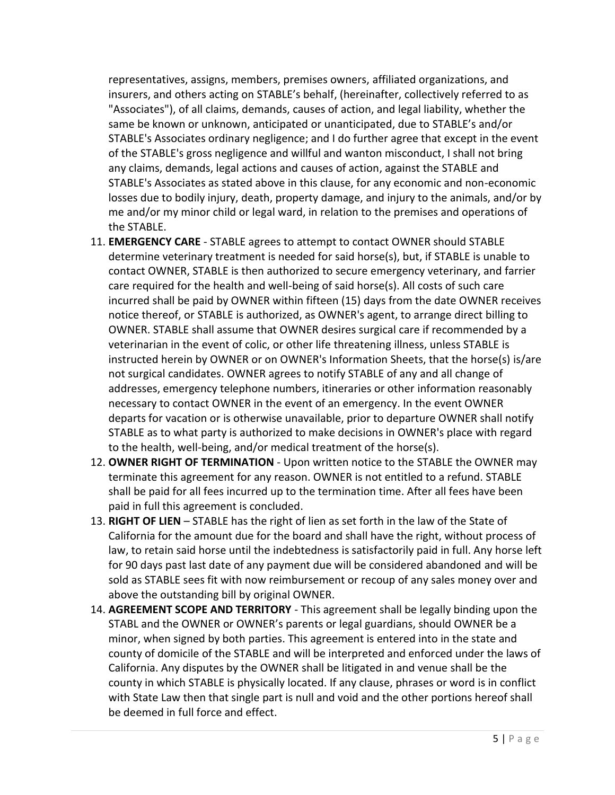representatives, assigns, members, premises owners, affiliated organizations, and insurers, and others acting on STABLE's behalf, (hereinafter, collectively referred to as "Associates"), of all claims, demands, causes of action, and legal liability, whether the same be known or unknown, anticipated or unanticipated, due to STABLE's and/or STABLE's Associates ordinary negligence; and I do further agree that except in the event of the STABLE's gross negligence and willful and wanton misconduct, I shall not bring any claims, demands, legal actions and causes of action, against the STABLE and STABLE's Associates as stated above in this clause, for any economic and non-economic losses due to bodily injury, death, property damage, and injury to the animals, and/or by me and/or my minor child or legal ward, in relation to the premises and operations of the STABLE.

- 11. **EMERGENCY CARE** STABLE agrees to attempt to contact OWNER should STABLE determine veterinary treatment is needed for said horse(s), but, if STABLE is unable to contact OWNER, STABLE is then authorized to secure emergency veterinary, and farrier care required for the health and well-being of said horse(s). All costs of such care incurred shall be paid by OWNER within fifteen (15) days from the date OWNER receives notice thereof, or STABLE is authorized, as OWNER's agent, to arrange direct billing to OWNER. STABLE shall assume that OWNER desires surgical care if recommended by a veterinarian in the event of colic, or other life threatening illness, unless STABLE is instructed herein by OWNER or on OWNER's Information Sheets, that the horse(s) is/are not surgical candidates. OWNER agrees to notify STABLE of any and all change of addresses, emergency telephone numbers, itineraries or other information reasonably necessary to contact OWNER in the event of an emergency. In the event OWNER departs for vacation or is otherwise unavailable, prior to departure OWNER shall notify STABLE as to what party is authorized to make decisions in OWNER's place with regard to the health, well-being, and/or medical treatment of the horse(s).
- 12. **OWNER RIGHT OF TERMINATION** Upon written notice to the STABLE the OWNER may terminate this agreement for any reason. OWNER is not entitled to a refund. STABLE shall be paid for all fees incurred up to the termination time. After all fees have been paid in full this agreement is concluded.
- 13. **RIGHT OF LIEN** STABLE has the right of lien as set forth in the law of the State of California for the amount due for the board and shall have the right, without process of law, to retain said horse until the indebtedness is satisfactorily paid in full. Any horse left for 90 days past last date of any payment due will be considered abandoned and will be sold as STABLE sees fit with now reimbursement or recoup of any sales money over and above the outstanding bill by original OWNER.
- 14. **AGREEMENT SCOPE AND TERRITORY** This agreement shall be legally binding upon the STABL and the OWNER or OWNER's parents or legal guardians, should OWNER be a minor, when signed by both parties. This agreement is entered into in the state and county of domicile of the STABLE and will be interpreted and enforced under the laws of California. Any disputes by the OWNER shall be litigated in and venue shall be the county in which STABLE is physically located. If any clause, phrases or word is in conflict with State Law then that single part is null and void and the other portions hereof shall be deemed in full force and effect.